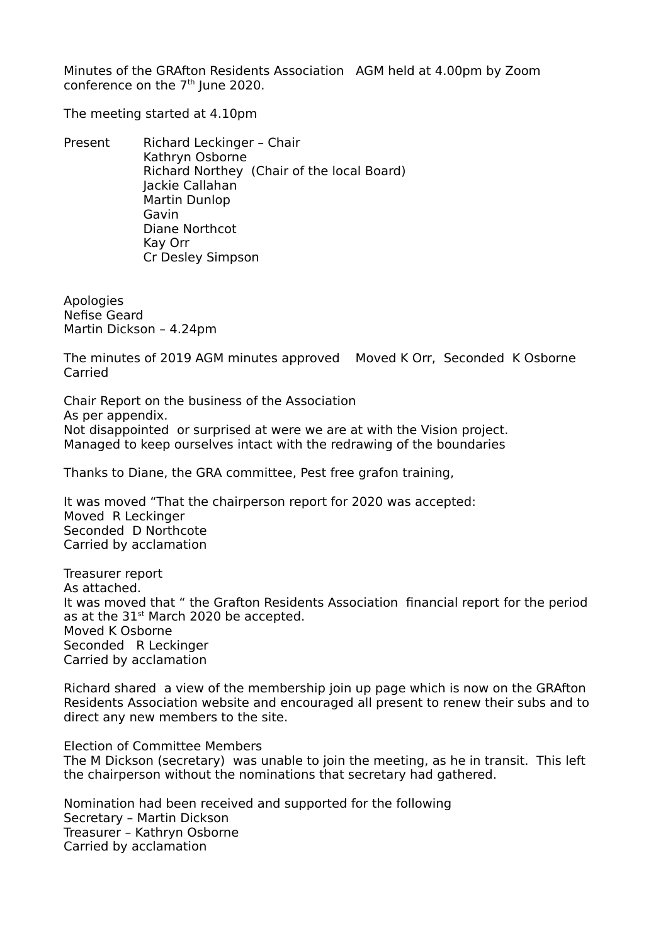Minutes of the GRAfton Residents Association AGM held at 4.00pm by Zoom conference on the  $7<sup>th</sup>$  lune 2020.

The meeting started at 4.10pm

Present Richard Leckinger - Chair Kathryn Osborne Richard Northey (Chair of the local Board) Jackie Callahan Martin Dunlop Gavin Diane Northcot Kay Orr Cr Desley Simpson

Apologies Nefise Geard Martin Dickson – 4.24pm

The minutes of 2019 AGM minutes approved Moved K Orr, Seconded K Osborne Carried

Chair Report on the business of the Association As per appendix. Not disappointed or surprised at were we are at with the Vision project. Managed to keep ourselves intact with the redrawing of the boundaries

Thanks to Diane, the GRA committee, Pest free grafon training,

It was moved "That the chairperson report for 2020 was accepted: Moved R Leckinger Seconded D Northcote Carried by acclamation

Treasurer report As attached. It was moved that " the Grafton Residents Association financial report for the period as at the 31<sup>st</sup> March 2020 be accepted. Moved K Osborne Seconded R Leckinger Carried by acclamation

Richard shared a view of the membership join up page which is now on the GRAfton Residents Association website and encouraged all present to renew their subs and to direct any new members to the site.

Election of Committee Members The M Dickson (secretary) was unable to join the meeting, as he in transit. This left the chairperson without the nominations that secretary had gathered.

Nomination had been received and supported for the following Secretary – Martin Dickson Treasurer – Kathryn Osborne Carried by acclamation